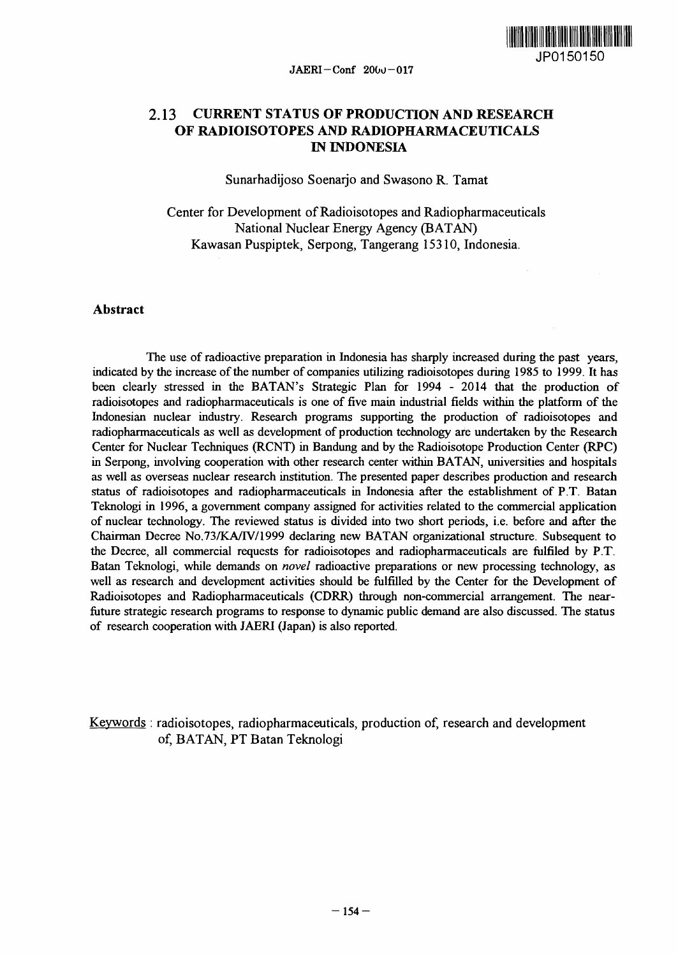

# **2.13 CURRENT STATUS OF PRODUCTION AND RESEARCH OF RADIOISOTOPES AND RADIOPHARMACEUTICALS IN INDONESIA**

Sunarhadijoso Soenarjo and Swasono R. Tamat

Center for Development of Radioisotopes and Radiopharmaceuticals National Nuclear Energy Agency (BATAN) Kawasan Puspiptek, Serpong, Tangerang 15310, Indonesia.

## **Abstract**

The use of radioactive preparation in Indonesia has sharply increased during the past years, indicated by the increase of the number of companies utilizing radioisotopes during 1985 to 1999. It has been clearly stressed in the BATAN's Strategic Plan for 1994 - 2014 that the production of radioisotopes and radiopharmaceuticals is one of five main industrial fields within the platform of the Indonesian nuclear industry. Research programs supporting the production of radioisotopes and radiopharmaceuticals as well as development of production technology are undertaken by the Research Center for Nuclear Techniques (RCNT) in Bandung and by the Radioisotope Production Center (RPC) in Serpong, involving cooperation with other research center within BATAN, universities and hospitals as well as overseas nuclear research institution. The presented paper describes production and research status of radioisotopes and radiopharmaceuticals in Indonesia after the establishment of P.T. Batan Teknologi in 1996, a government company assigned for activities related to the commercial application of nuclear technology. The reviewed status is divided into two short periods, i.e. before and after the Chairman Decree No.73/KA/TV/1999 declaring new BATAN organizational structure. Subsequent to the Decree, all commercial requests for radioisotopes and radiopharmaceuticals are fulfiled by P.T. Batan Teknologi, while demands on *novel* radioactive preparations or new processing technology, as well as research and development activities should be fulfilled by the Center for the Development of Radioisotopes and Radiopharmaceuticals (CDRR) through non-commercial arrangement. The nearfuture strategic research programs to response to dynamic public demand are also discussed. The status of research cooperation with JAERI (Japan) is also reported.

Keywords : radioisotopes, radiopharmaceuticals, production of, research and development of, BATAN, PT Batan Teknologi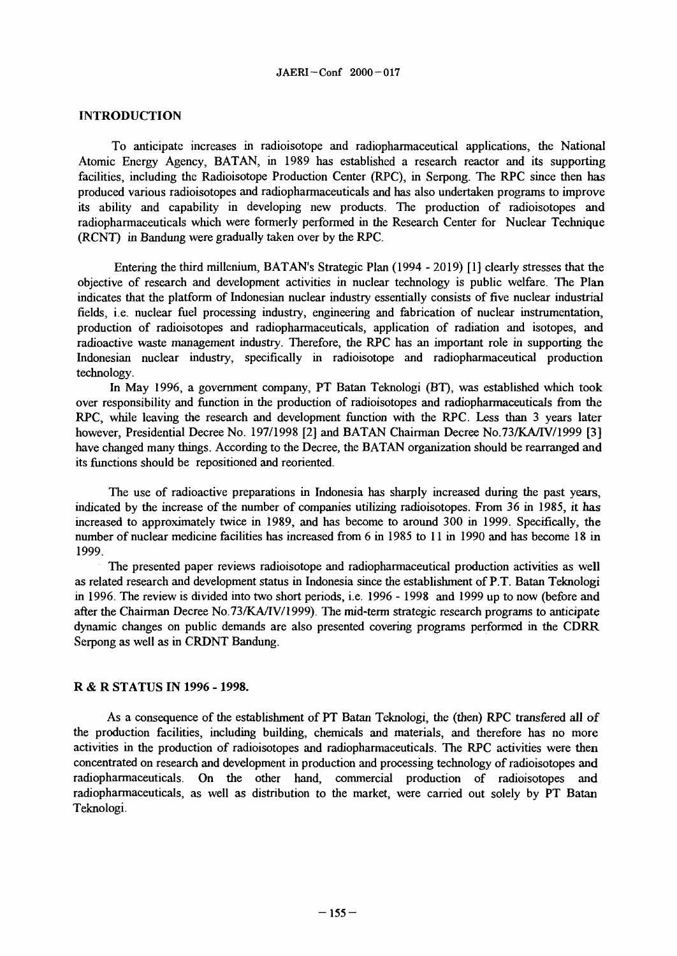### INTRODUCTION

To anticipate increases in radioisotope and radiopharmaceutical applications, the National Atomic Energy Agency, BATAN, in 1989 has established a research reactor and its supporting facilities, including the Radioisotope Production Center (RPC), in Serpong. The RPC since then has produced various radioisotopes and radiopharmaceuticals and has also undertaken programs to improve its ability and capability in developing new products. The production of radioisotopes and radiopharmaceuticals which were formerly performed in the Research Center for Nuclear Technique (RCNT) in Bandung were gradually taken over by the RPC.

Entering the third millenium, BATAN's Strategic Plan (1994 - 2019) [1] clearly stresses that the objective of research and development activities in nuclear technology is public welfare. The Plan indicates that the platform of Indonesian nuclear industry essentially consists of five nuclear industrial fields, i.e. nuclear fuel processing industry, engineering and fabrication of nuclear instrumentation, production of radioisotopes and radiopharmaceuticals, application of radiation and isotopes, and radioactive waste management industry. Therefore, the RPC has an important role in supporting the Indonesian nuclear industry, specifically in radioisotope and radiopharmaceutical production technology.

In May 1996, a government company, PT Batan Teknologi (BT), was established which took over responsibility and function in the production of radioisotopes and radiopharmaceuticals from the RPC, while leaving the research and development function with the RPC. Less than 3 years later however, Presidential Decree No. 197/1998 [2] and BATAN Chairman Decree No.73/KA/IV/1999 [3] have changed many things. According to the Decree, the BATAN organization should be rearranged and its functions should be repositioned and reoriented.

The use of radioactive preparations in Indonesia has sharply increased during the past years, indicated by the increase of the number of companies utilizing radioisotopes. From 36 in 1985, it has increased to approximately twice in 1989, and has become to around 300 in 1999. Specifically, the number of nuclear medicine facilities has increased from 6 in 1985 to 11 in 1990 and has become 18 in 1999.

The presented paper reviews radioisotope and radiopharmaceutical production activities as well as related research and development status in Indonesia since the establishment of P.T. Batan Teknologi in 1996. The review is divided into two short periods, i.e. 1996 - 1998 and 1999 up to now (before and after the Chairman Decree No.73/KA/TV/1999). The mid-term strategic research programs *to* anticipate dynamic changes on public demands are also presented covering programs performed in the CDRR Serpong as well as in CRDNT Bandung.

#### R & R STATUS IN 1996 - 1998.

As a consequence of the establishment of PT Batan Teknologi, the (then) RPC transfered all of the production facilities, including building, chemicals and materials, and therefore has no more activities in the production of radioisotopes and radiopharmaceuticals. The RPC activities were then concentrated on research and development in production and processing technology of radioisotopes and radiopharmaceuticals. On the other hand, commercial production of radioisotopes and radiopharmaceuticals, as well as distribution to the market, were carried out solely by PT Batan Teknologi.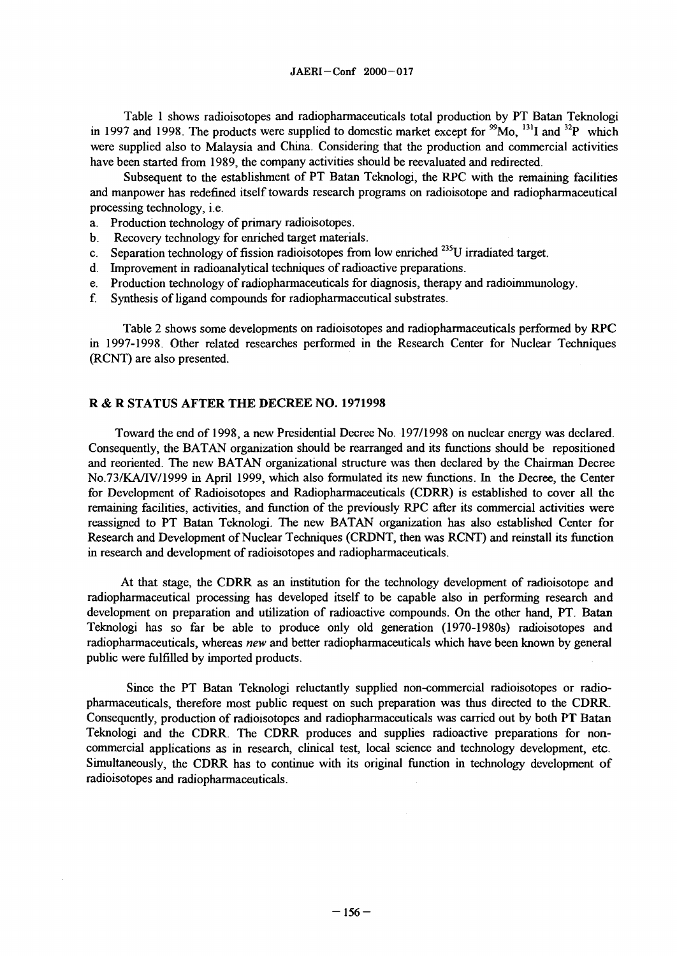Table 1 shows radioisotopes and radiopharmaceuticals total production by PT Batan Teknologi in 1997 and 1998. The products were supplied to domestic market except for <sup>99</sup>Mo,  $^{131}$ I and  $^{32}$ P which were supplied also to Malaysia and China. Considering that the production and commercial activities have been started from 1989, the company activities should be reevaluated and redirected.

Subsequent to the establishment of PT Batan Teknologi, the RPC with the remaining facilities and manpower has redefined itself towards research programs on radioisotope and radiopharmaceutical processing technology, i.e.

- a. Production technology of primary radioisotopes.
- b. Recovery technology for enriched target materials.
- c. Separation technology of fission radioisotopes from low enriched <sup>235</sup>U irradiated target.
- d. Improvement in radioanalytical techniques of radioactive preparations.
- e. Production technology of radiopharmaceuticals for diagnosis, therapy and radioimmunology.
- f. Synthesis of ligand compounds for radiopharmaceutical substrates.

Table 2 shows some developments on radioisotopes and radiopharmaceuticals performed by RPC in 1997-1998. Other related researches performed in the Research Center for Nuclear Techniques (RCNT) are also presented.

### R & R STATUS AFTER THE DECREE NO. 1971998

Toward the end of 1998, a new Presidential Decree No. 197/1998 on nuclear energy was declared. Consequently, the BATAN organization should be rearranged and its functions should be repositioned and reoriented. The new BATAN organizational structure was then declared by the Chairman Decree No.73/KA/IV/1999 in April 1999, which also formulated its new functions. In the Decree, the Center for Development of Radioisotopes and Radiopharmaceuticals (CDRR) is established to cover all the remaining facilities, activities, and function of the previously RPC after its commercial activities were reassigned to PT Batan Teknologi. The new BATAN organization has also established Center for Research and Development of Nuclear Techniques (CRDNT, then was RCNT) and reinstall its function in research and development of radioisotopes and radiopharmaceuticals.

At that stage, the CDRR as an institution for the technology development of radioisotope and radiopharmaceutical processing has developed itself to be capable also in performing research and development on preparation and utilization of radioactive compounds. On the other hand, PT. Batan Teknologi has so far be able to produce only old generation (1970-1980s) radioisotopes and radiopharmaceuticals, whereas *new* and better radiopharmaceuticals which have been known by general public were fulfilled by imported products.

Since the PT Batan Teknologi reluctantly supplied non-commercial radioisotopes or radiopharmaceuticals, therefore most public request on such preparation was thus directed to the CDRR. Consequently, production of radioisotopes and radiopharmaceuticals was carried out by both PT Batan Teknologi and the CDRR. The CDRR produces and supplies radioactive preparations for noncommercial applications as in research, clinical test, local science and technology development, etc. Simultaneously, the CDRR has to continue with its original function in technology development of radioisotopes and radiopharmaceuticals.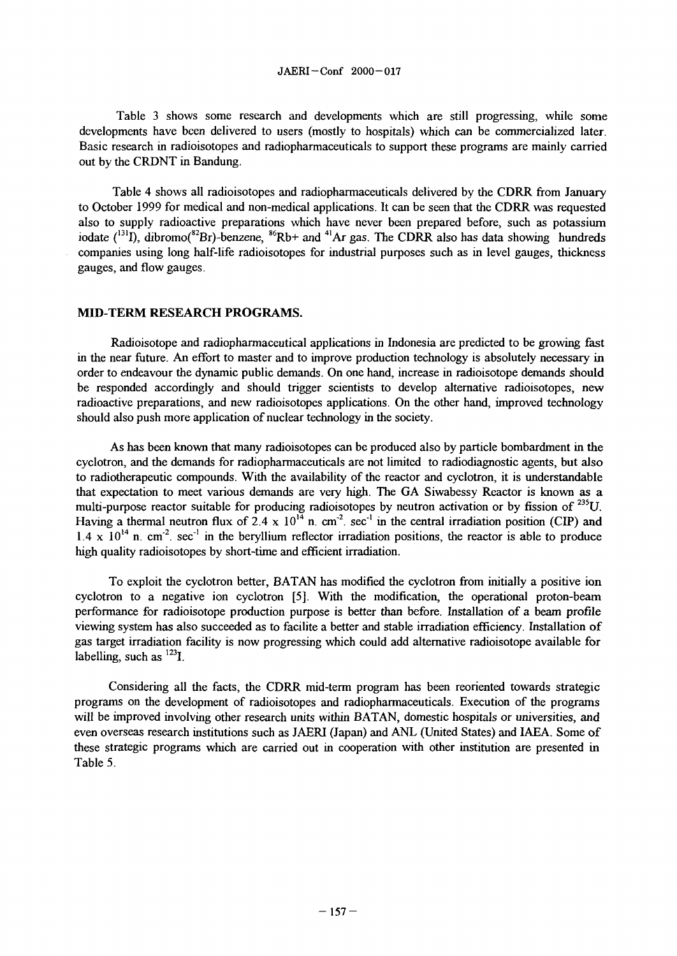Table 3 shows some research and developments which are still progressing, while some developments have been delivered to users (mostly to hospitals) which can be commercialized later. Basic research in radioisotopes and radiopharmaceuticals to support these programs are mainly carried out by the CRDNT in Bandung.

Table 4 shows all radioisotopes and radiopharmaceuticals delivered by the CDRR from January to October 1999 for medical and non-medical applications. It can be seen that the CDRR was requested also to supply radioactive preparations which have never been prepared before, such as potassium iodate  $(^{131}I)$ , dibromo( $^{82}Br$ )-benzene,  $^{86}Rb+$  and  $^{41}Ar$  gas. The CDRR also has data showing hundreds companies using long half-life radioisotopes for industrial purposes such as in level gauges, thickness gauges, and flow gauges.

#### **MID-TERM RESEARCH PROGRAMS.**

Radioisotope and radiopharmaceutical applications in Indonesia are predicted to be growing fast in the near future. An effort to master and to improve production technology is absolutely necessary in order to endeavour the dynamic public demands. On one hand, increase in radioisotope demands should be responded accordingly and should trigger scientists to develop alternative radioisotopes, new radioactive preparations, and new radioisotopes applications. On the other hand, improved technology should also push more application of nuclear technology in the society.

As has been known that many radioisotopes can be produced also by particle bombardment in the cyclotron, and the demands for radiopharmaceuticals are not limited to radiodiagnostic agents, but also to radiotherapeutic compounds. With the availability of the reactor and cyclotron, it is understandable that expectation to meet various demands are very high. The GA Siwabessy Reactor is known as a multi-purpose reactor suitable for producing radioisotopes by neutron activation or by fission of <sup>235</sup>U. Having a thermal neutron flux of 2.4 x  $10^{14}$  n. cm<sup>-2</sup>. sec<sup>-1</sup> in the central irradiation position (CIP) and  $1.4 \times 10^{14}$  n. cm<sup>-2</sup>, sec<sup>-1</sup> in the beryllium reflector irradiation positions, the reactor is able to produce high quality radioisotopes by short-time and efficient irradiation.

To exploit the cyclotron better, BATAN has modified the cyclotron from initially a positive ion cyclotron to a negative ion cyclotron [5]. With the modification, the operational proton-beam performance for radioisotope production purpose is better than before. Installation of a beam profile viewing system has also succeeded as to facilite a better and stable irradiation efficiency. Installation of gas target irradiation facility is now progressing which could add alternative radioisotope available for  $a$ labelling, such as  $^{123}$ I.

Considering all the facts, the CDRR mid-term program has been reoriented towards strategic programs on the development of radioisotopes and radiopharmaceuticals. Execution of the programs will be improved involving other research units within BATAN, domestic hospitals or universities, and even overseas research institutions such as JAERI (Japan) and ANL (United States) and IAEA. Some of these strategic programs which are carried out in cooperation with other institution are presented in Table 5.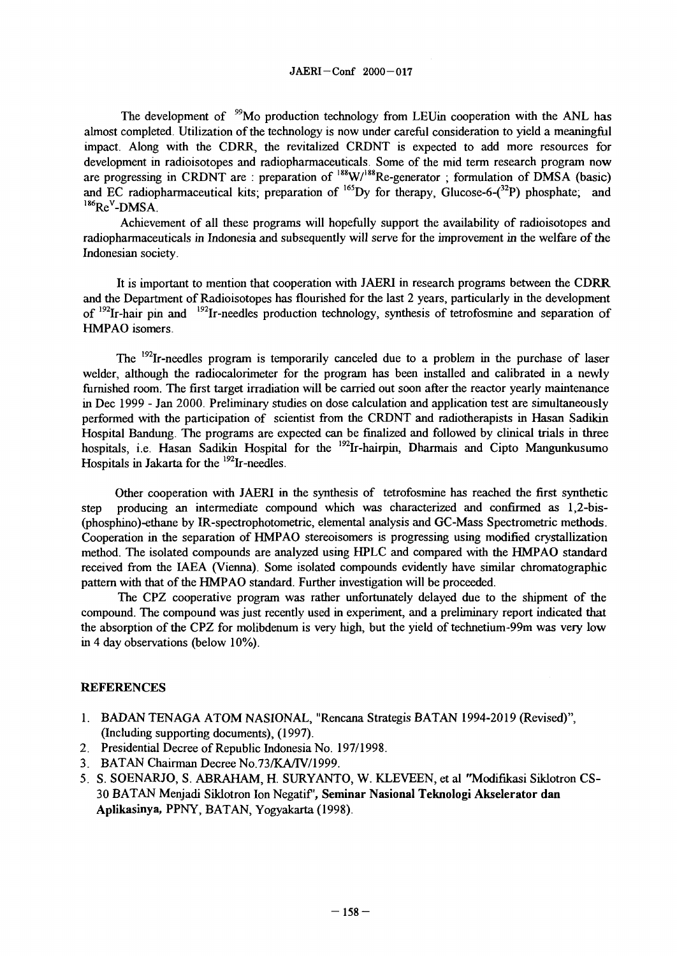The development of <sup>99</sup>Mo production technology from LEUin cooperation with the ANL has almost completed. Utilization of the technology is now under careful consideration to yield a meaningful impact. Along with the CDRR, the revitalized CRDNT is expected to add more resources for development in radioisotopes and radiopharmaceuticals. Some of the mid term research program now are progressing in CRDNT are : preparation of  $188$ W/ $188$ Re-generator ; formulation of DMSA (basic) and EC radiopharmaceutical kits; preparation of  $^{165}Dy$  for therapy, Glucose-6-( $^{32}P$ ) phosphate; and  $186$ Re<sup>V</sup>-DMSA.

Achievement of all these programs will hopefully support the availability of radioisotopes and radiopharmaceuticals in Indonesia and subsequently will serve for the improvement in the welfare of the Indonesian society.

It is important to mention that cooperation with JAERI in research programs between the **CDRR** and the Department of Radioisotopes has flourished for the last 2 years, particularly in the development of <sup>192</sup>Ir-hair pin and <sup>192</sup>Ir-needles production technology, synthesis of tetrofosmine and separation of HMPAO isomers.

The <sup>192</sup>Ir-needles program is temporarily canceled due to a problem in the purchase of laser welder, although the radiocalorimeter for the program has been installed and calibrated in a newly furnished room. The first target irradiation will be carried out soon after the reactor yearly maintenance in Dec 1999 - Jan 2000. Preliminary studies on dose calculation and application test are simultaneously performed with the participation of scientist from the CRDNT and radiotherapists in Hasan Sadikin Hospital Bandung. The programs are expected can be finalized and followed by clinical trials in three hospitals, i.e. Hasan Sadikin Hospital for the <sup>192</sup>Ir-hairpin, Dharmais and Cipto Mangunkusumo Hospitals in Jakarta for the <sup>192</sup>Ir-needles.

Other cooperation with JAERI in the synthesis of tetrofosmine has reached the first synthetic step producing an intermediate compound which was characterized and confirmed as 1,2-bis- (phosphino)-ethane by IR-spectrophotometric, elemental analysis and GC-Mass Spectrometric methods. Cooperation in the separation of HMPAO stereoisomers is progressing using modified crystallization method. The isolated compounds are analyzed using HPLC and compared with the HMPAO standard received from the IAEA (Vienna). Some isolated compounds evidently have similar chromatographic pattern with that of the HMPAO standard. Further investigation will be proceeded.

The CPZ cooperative program was rather unfortunately delayed due to the shipment of the compound. The compound was just recently used in experiment, and a preliminary report indicated that the absorption of the CPZ for molibdenum is very high, but the yield of technetium-99m was very low in 4 day observations (below 10%).

## REFERENCES

- 1. BADAN TENAGA ATOM NASIONAL, "Rencana Strategis BATAN 1994-2019 (Revised)", (Including supporting documents), (1997).
- 2. Presidential Decree of Republic Indonesia No. 197/1998.
- 3. BATAN Chairman Decree No.73/KA/TV/1999.
- 5. S. SOENARJO, S. ABRAHAM, H. SURYANTO, W. KLEVEEN, et al "Modifikasi Siklotron CS-30 BATAN Menjadi Siklotron Ion Negatif', **Seminar Nasional Teknologi Akselerator dan Aplikasinya,** PPNY, BATAN, Yogyakarta (1998).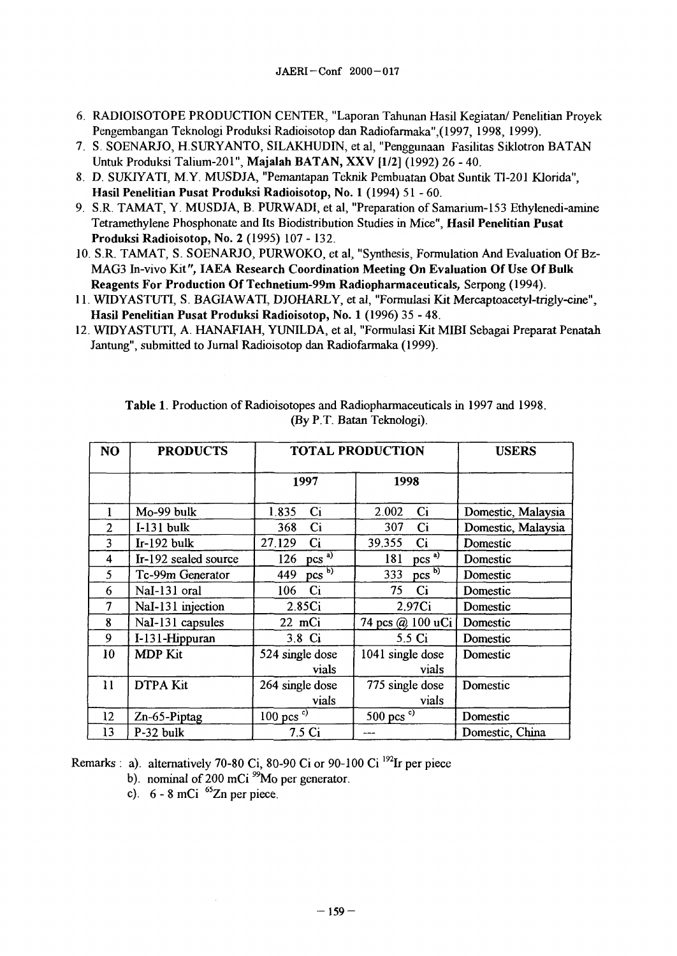- 6. RADIOISOTOPE PRODUCTION CENTER, "Laporan Tahunan Hasil Kegiatan/ Penelitian Proyek Pengembangan Teknologi Produksi Radioisotop dan Radiofarmaka",(1997, 1998, 1999).
- 7. S. SOENARJO, H.SURYANTO, SILAKHUDIN, et al, "Penggunaan Fasilitas Siklotron BATAN Untuk Produksi TaIium-201", **Majalah BATAN, XXV [1/2]** (1992) 26 - 40.
- 8. D. SUKIYATI, M.Y. MUSDJA, "Pemantapan Teknik Pembuatan Obat Suntik Tl-201 Klorida", **Hasil Penelitian Pusat Produksi Radioisotop, No. 1** (1994) 51-60.
- 9. S.R. TAMAT, Y. MUSDJA, B. PURWADI, et al, "Preparation of Samanum-153 Ethylenedi-amine Tetramethylene Phosphonate and Its Biodistribution Studies in Mice", **Hasii Penelitian Pusat Produksi Radioisotop, No. 2** (1995) 107-132.
- 10. S.R. TAMAT, S. SOENARJO, PURWOKO, et al, "Synthesis, Formulation And Evaluation Of Bz-MAG3 In-vivo Kit", **IAEA Research Coordination Meeting On Evaluation Of Use Of Bulk Reagents For Production Of Technetium-99m Radiopharmaceuticals,** Serpong (1994).
- 11. WIDYASTUTI, S. BAGIAWATI, DJOHARLY, et al, "Formulasi Kit Mercaptoacetyl-trigly-cine", **Hasil Penelitian Pusat Produksi Radioisotop, No. 1** (1996) 35 - 48.
- 12. WIDYASTUTI, A. HANAFIAH, YUNILDA, et al, "Formulasi Kit **MIBI** Sebagai Preparat Penatah Jantung", submitted to Jurnal Radioisotop dan Radiofarmaka (1999).

| NO             | <b>PRODUCTS</b>      | <b>TOTAL PRODUCTION</b>           | <b>USERS</b>                |                    |
|----------------|----------------------|-----------------------------------|-----------------------------|--------------------|
|                |                      | 1997                              | 1998                        |                    |
| 1              | Mo-99 bulk           | C <sub>i</sub><br>1.835           | Ci<br>2.002                 | Domestic, Malaysia |
| $\overline{2}$ | $I-131$ bulk         | 368<br>$\mathbf{C}$ i             | 307<br>Ci                   | Domestic, Malaysia |
| 3              | $Ir-192$ bulk        | 27.129<br>Ci                      | 39,355<br>Ci                | Domestic           |
| 4              | Ir-192 sealed source | $pcs^{\overrightarrow{a}}$<br>126 | $pcs$ <sup>a)</sup><br>181  | Domestic           |
| 5              | Tc-99m Generator     | $pcs^{-1}$<br>449                 | $pcs^{\overline{b}}$<br>333 | Domestic           |
| 6              | NaI-131 oral         | Ci<br>106                         | 75<br>Ci                    | Domestic           |
| $\overline{7}$ | NaI-131 injection    | 2.85 <sub>Ci</sub>                | 2.97Ci                      | Domestic           |
| 8              | NaI-131 capsules     | 22 mCi                            | 74 pcs @ 100 uCi            | Domestic           |
| 9              | I-131-Hippuran       | 3.8 Ci                            | 5.5 Ci                      | Domestic           |
| 10             | <b>MDP</b> Kit       | 524 single dose                   | 1041 single dose            | Domestic           |
|                |                      | vials                             | vials                       |                    |
| 11             | <b>DTPA Kit</b>      | 264 single dose                   | 775 single dose             | Domestic           |
|                |                      | vials                             | vials                       |                    |
| $12 \,$        | Zn-65-Piptag         | 100 pcs $\overline{c}$ )          | 500 pcs $\degree$           | Domestic           |
| 13             | P-32 bulk            | 7.5 Ci                            |                             | Domestic, China    |

**Table 1.** Production of Radioisotopes and Radiopharmaceuticals in 1997 and 1998. (By P.T. Batan Teknologi).

Remarks: a). alternatively 70-80 Ci, 80-90 Ci or 90-100 Ci <sup>192</sup>Ir per piece

b). nominal of 200 mCi  $^{99}$ Mo per generator.

c).  $6 - 8$  mCi<sup>65</sup>Zn per piece.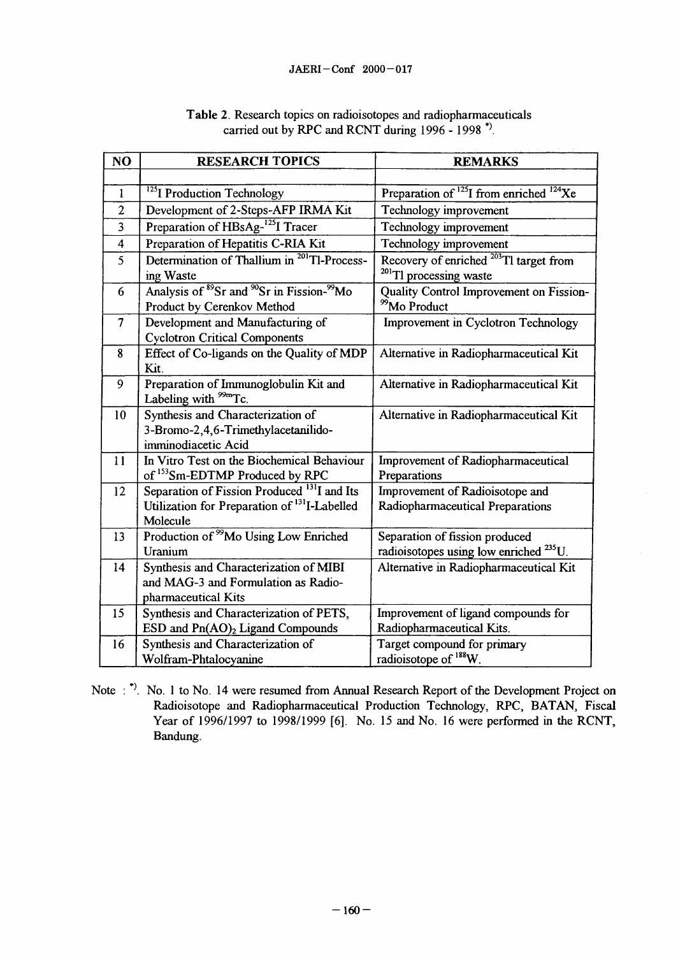| NO                      | <b>RESEARCH TOPICS</b>                                                                                                          | <b>REMARKS</b>                                                                           |
|-------------------------|---------------------------------------------------------------------------------------------------------------------------------|------------------------------------------------------------------------------------------|
|                         |                                                                                                                                 |                                                                                          |
| $\mathbf{I}$            | <sup>125</sup> I Production Technology                                                                                          | Preparation of $^{125}$ I from enriched $^{124}$ Xe                                      |
| $\overline{2}$          | Development of 2-Steps-AFP IRMA Kit                                                                                             | Technology improvement                                                                   |
| 3                       | Preparation of HBsAg- <sup>125</sup> I Tracer                                                                                   | Technology improvement                                                                   |
| $\overline{\mathbf{4}}$ | Preparation of Hepatitis C-RIA Kit                                                                                              | Technology improvement                                                                   |
| 5                       | Determination of Thallium in <sup>201</sup> Tl-Process-<br>ing Waste                                                            | Recovery of enriched <sup>203</sup> Tl target from<br><sup>201</sup> Tl processing waste |
| 6                       | Analysis of 89Sr and 90Sr in Fission-99Mo<br>Product by Cerenkov Method                                                         | Quality Control Improvement on Fission-<br><sup>99</sup> Mo Product                      |
| $\overline{7}$          | Development and Manufacturing of<br><b>Cyclotron Critical Components</b>                                                        | Improvement in Cyclotron Technology                                                      |
| 8                       | Effect of Co-ligands on the Quality of MDP<br>Kit.                                                                              | Alternative in Radiopharmaceutical Kit                                                   |
| 9                       | Preparation of Immunoglobulin Kit and<br>Labeling with <sup>99m</sup> Tc.                                                       | Alternative in Radiopharmaceutical Kit                                                   |
| 10                      | Synthesis and Characterization of<br>3-Bromo-2,4,6-Trimethylacetanilido-<br>imminodiacetic Acid                                 | Alternative in Radiopharmaceutical Kit                                                   |
| 11                      | In Vitro Test on the Biochemical Behaviour<br>of <sup>153</sup> Sm-EDTMP Produced by RPC                                        | Improvement of Radiopharmaceutical<br>Preparations                                       |
| 12                      | Separation of Fission Produced <sup>131</sup> I and Its<br>Utilization for Preparation of <sup>131</sup> I-Labelled<br>Molecule | Improvement of Radioisotope and<br>Radiopharmaceutical Preparations                      |
| 13                      | Production of <sup>99</sup> Mo Using Low Enriched<br>Uranium                                                                    | Separation of fission produced<br>radioisotopes using low enriched <sup>235</sup> U.     |
| 14                      | Synthesis and Characterization of MIBI<br>and MAG-3 and Formulation as Radio-<br>pharmaceutical Kits                            | Alternative in Radiopharmaceutical Kit                                                   |
| 15                      | Synthesis and Characterization of PETS,<br>ESD and Pn(AO) <sub>2</sub> Ligand Compounds                                         | Improvement of ligand compounds for<br>Radiopharmaceutical Kits.                         |
| 16                      | Synthesis and Characterization of<br>Wolfram-Phtalocyanine                                                                      | Target compound for primary<br>radioisotope of <sup>188</sup> W.                         |

| Table 2. Research topics on radioisotopes and radiopharmaceuticals |  |  |  |
|--------------------------------------------------------------------|--|--|--|
| carried out by RPC and RCNT during 1996 - 1998 <sup>*</sup> ).     |  |  |  |

Note : \*). No. 1 to No. 14 were resumed from Annual Research Report of the Development Project on Radioisotope and Radiopharmaceutical Production Technology, RPC, BATAN, Fiscal Year of 1996/1997 to 1998/1999 [6]. No. 15 and No. 16 were performed in the RCNT, Bandung.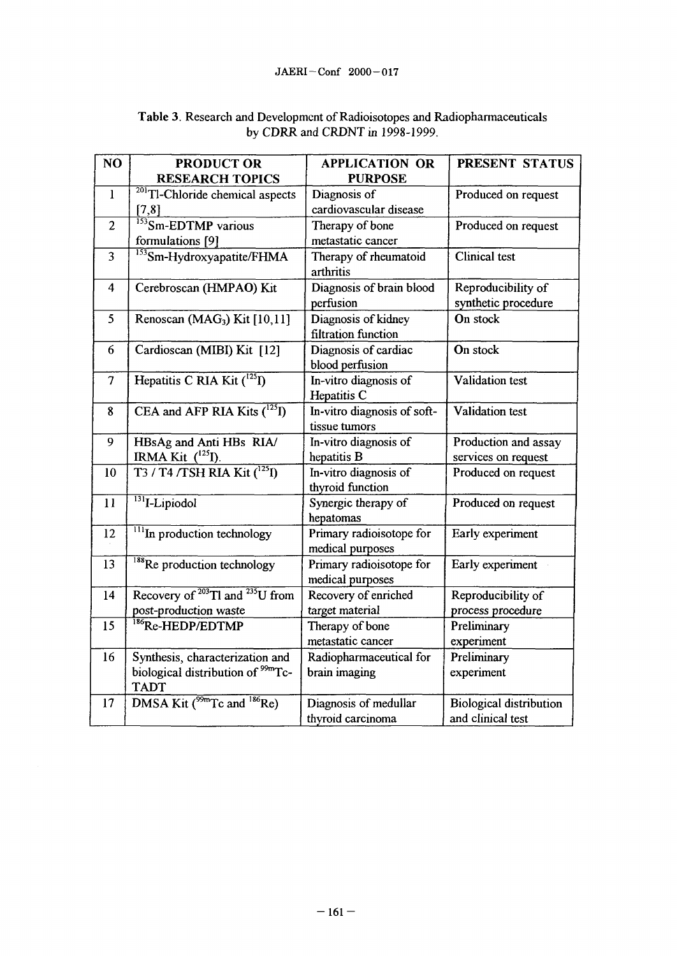| NO             | <b>PRODUCT OR</b><br><b>RESEARCH TOPICS</b>                                                     | <b>APPLICATION OR</b><br><b>PURPOSE</b>      | PRESENT STATUS                                      |
|----------------|-------------------------------------------------------------------------------------------------|----------------------------------------------|-----------------------------------------------------|
| $\mathbf{I}$   | <sup>201</sup> Tl-Chloride chemical aspects<br>[7,8]                                            | Diagnosis of<br>cardiovascular disease       | Produced on request                                 |
| $\overline{2}$ | $\frac{153}{153}$ Sm-EDTMP various<br>formulations [9]                                          | Therapy of bone<br>metastatic cancer         | Produced on request                                 |
| $\overline{3}$ | <sup>153</sup> Sm-Hydroxyapatite/FHMA                                                           | Therapy of rheumatoid<br>arthritis           | <b>Clinical test</b>                                |
| $\overline{4}$ | Cerebroscan (HMPAO) Kit                                                                         | Diagnosis of brain blood<br>perfusion        | Reproducibility of<br>synthetic procedure           |
| 5              | Renoscan (MAG <sub>3</sub> ) Kit [10,11]                                                        | Diagnosis of kidney<br>filtration function   | On stock                                            |
| 6              | Cardioscan (MIBI) Kit [12]                                                                      | Diagnosis of cardiac<br>blood perfusion      | On stock                                            |
| $\tau$         | Hepatitis C RIA Kit ( <sup>125</sup> I)                                                         | In-vitro diagnosis of<br>Hepatitis C         | Validation test                                     |
| 8              | CEA and AFP RIA Kits $(^{125}I)$                                                                | In-vitro diagnosis of soft-<br>tissue tumors | Validation test                                     |
| 9              | HBsAg and Anti HBs RIA/<br>IRMA Kit $(^{125}I)$ .                                               | In-vitro diagnosis of<br>hepatitis B         | Production and assay<br>services on request         |
| 10             | T3 / T4 / TSH RIA Kit (1251)                                                                    | In-vitro diagnosis of<br>thyroid function    | Produced on request                                 |
| 11             | $131$ <sub>I</sub> -Lipiodol                                                                    | Synergic therapy of<br>hepatomas             | Produced on request                                 |
| 12             | $\frac{111}{\text{In production technology}}$                                                   | Primary radioisotope for<br>medical purposes | Early experiment                                    |
| 13             | <sup>188</sup> Re production technology                                                         | Primary radioisotope for<br>medical purposes | Early experiment                                    |
| 14             | Recovery of <sup>203</sup> Tl and <sup>235</sup> U from<br>post-production waste                | Recovery of enriched<br>target material      | Reproducibility of<br>process procedure             |
| 15             | <sup>186</sup> Re-HEDP/EDTMP                                                                    | Therapy of bone<br>metastatic cancer         | Preliminary<br>experiment                           |
| 16             | Synthesis, characterization and<br>biological distribution of <sup>99m</sup> Tc-<br><b>TADT</b> | Radiopharmaceutical for<br>brain imaging     | Preliminary<br>experiment                           |
| 17             | DMSA Kit ( <sup>99m</sup> Tc and <sup>186</sup> Re)                                             | Diagnosis of medullar<br>thyroid carcinoma   | <b>Biological distribution</b><br>and clinical test |

## **Table 3.** Research and Development of Radioisotopes and Radiopharmaceuticals by CDRR and CRDNT in 1998-1999.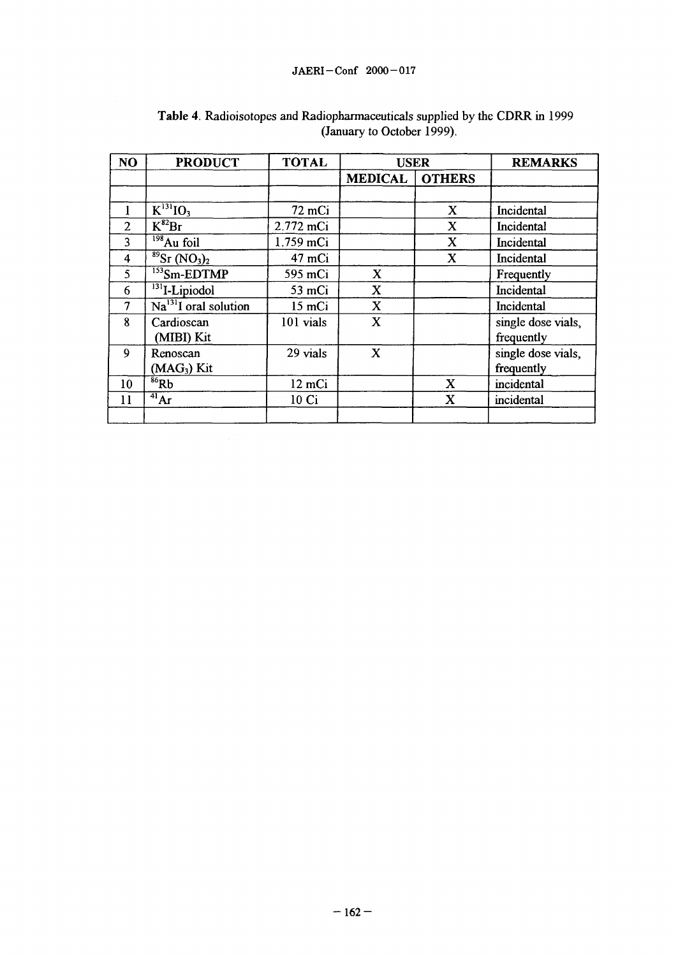| NO             | <b>PRODUCT</b>                                    | <b>TOTAL</b> | <b>USER</b>    |               | <b>REMARKS</b>     |
|----------------|---------------------------------------------------|--------------|----------------|---------------|--------------------|
|                |                                                   |              | <b>MEDICAL</b> | <b>OTHERS</b> |                    |
|                |                                                   |              |                |               |                    |
|                | $K^{131}$ IO <sub>3</sub>                         | 72 mCi       |                | $\mathbf X$   | Incidental         |
| $\overline{2}$ | $\overline{K^{82}}Br$                             | 2.772 mCi    |                | X             | Incidental         |
| 3              | $198$ Au foil                                     | 1.759 mCi    |                | $\mathbf x$   | Incidental         |
| 4              | $\frac{89}{2}$ Sr (NO <sub>3</sub> ) <sub>2</sub> | 47 mCi       |                | $\mathbf x$   | Incidental         |
| 5              | $153$ Sm-EDTMP                                    | 595 mCi      | $\mathbf{X}$   |               | Frequently         |
| 6              | <sup>131</sup> I-Lipiodol                         | 53 mCi       | $\mathbf{X}$   |               | Incidental         |
| $\overline{7}$ | $Na131I$ oral solution                            | 15 mCi       | $\mathbf X$    |               | Incidental         |
| 8              | Cardioscan                                        | 101 vials    | $\mathbf X$    |               | single dose vials, |
|                | (MIBI) Kit                                        |              |                |               | frequently         |
| 9              | Renoscan                                          | 29 vials     | $\mathbf{X}$   |               | single dose vials, |
|                | $(MAG3)$ Kit                                      |              |                |               | frequently         |
| 10             | $86$ Rb                                           | 12 mCi       |                | X             | incidental         |
| 11             | 41 <sub>Ar</sub>                                  | 10 Ci        |                | X             | incidental         |
|                |                                                   |              |                |               |                    |

# **Table 4.** Radioisotopes and Radiopharmaceuticals supplied by the CDRR in 1999 (January to October 1999).